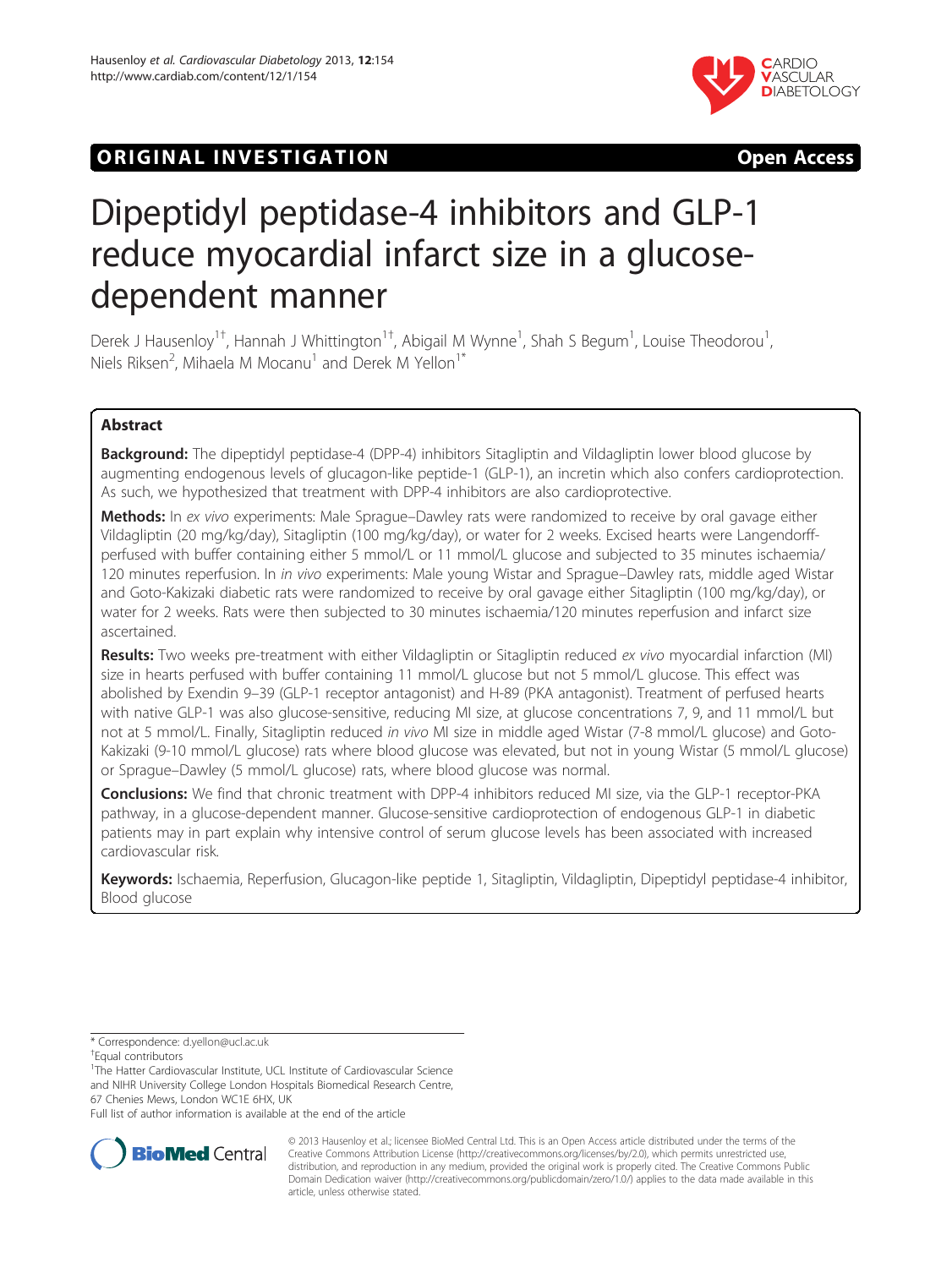

# **ORIGINAL INVESTIGATION CONSUMING THE SET OF STATION**

# Dipeptidyl peptidase-4 inhibitors and GLP-1 reduce myocardial infarct size in a glucosedependent manner

Derek J Hausenloy<sup>1†</sup>, Hannah J Whittington<sup>1†</sup>, Abigail M Wynne<sup>1</sup>, Shah S Begum<sup>1</sup>, Louise Theodorou<sup>1</sup> , Niels Riksen<sup>2</sup>, Mihaela M Mocanu<sup>1</sup> and Derek M Yellon<sup>1\*</sup>

# Abstract

**Background:** The dipeptidyl peptidase-4 (DPP-4) inhibitors Sitagliptin and Vildagliptin lower blood glucose by augmenting endogenous levels of glucagon-like peptide-1 (GLP-1), an incretin which also confers cardioprotection. As such, we hypothesized that treatment with DPP-4 inhibitors are also cardioprotective.

Methods: In ex vivo experiments: Male Sprague–Dawley rats were randomized to receive by oral gavage either Vildagliptin (20 mg/kg/day), Sitagliptin (100 mg/kg/day), or water for 2 weeks. Excised hearts were Langendorffperfused with buffer containing either 5 mmol/L or 11 mmol/L glucose and subjected to 35 minutes ischaemia/ 120 minutes reperfusion. In *in vivo* experiments: Male young Wistar and Sprague–Dawley rats, middle aged Wistar and Goto-Kakizaki diabetic rats were randomized to receive by oral gavage either Sitagliptin (100 mg/kg/day), or water for 2 weeks. Rats were then subjected to 30 minutes ischaemia/120 minutes reperfusion and infarct size ascertained.

Results: Two weeks pre-treatment with either Vildagliptin or Sitagliptin reduced ex vivo myocardial infarction (MI) size in hearts perfused with buffer containing 11 mmol/L glucose but not 5 mmol/L glucose. This effect was abolished by Exendin 9–39 (GLP-1 receptor antagonist) and H-89 (PKA antagonist). Treatment of perfused hearts with native GLP-1 was also glucose-sensitive, reducing MI size, at glucose concentrations 7, 9, and 11 mmol/L but not at 5 mmol/L. Finally, Sitagliptin reduced in vivo MI size in middle aged Wistar (7-8 mmol/L glucose) and Goto-Kakizaki (9-10 mmol/L glucose) rats where blood glucose was elevated, but not in young Wistar (5 mmol/L glucose) or Sprague–Dawley (5 mmol/L glucose) rats, where blood glucose was normal.

**Conclusions:** We find that chronic treatment with DPP-4 inhibitors reduced MI size, via the GLP-1 receptor-PKA pathway, in a glucose-dependent manner. Glucose-sensitive cardioprotection of endogenous GLP-1 in diabetic patients may in part explain why intensive control of serum glucose levels has been associated with increased cardiovascular risk.

Keywords: Ischaemia, Reperfusion, Glucagon-like peptide 1, Sitagliptin, Vildagliptin, Dipeptidyl peptidase-4 inhibitor, Blood glucose

Equal contributors

<sup>1</sup>The Hatter Cardiovascular Institute, UCL Institute of Cardiovascular Science and NIHR University College London Hospitals Biomedical Research Centre, 67 Chenies Mews, London WC1E 6HX, UK

Full list of author information is available at the end of the article



© 2013 Hausenloy et al.; licensee BioMed Central Ltd. This is an Open Access article distributed under the terms of the Creative Commons Attribution License (<http://creativecommons.org/licenses/by/2.0>), which permits unrestricted use, distribution, and reproduction in any medium, provided the original work is properly cited. The Creative Commons Public Domain Dedication waiver [\(http://creativecommons.org/publicdomain/zero/1.0/\)](http://creativecommons.org/publicdomain/zero/1.0/) applies to the data made available in this article, unless otherwise stated.

<sup>\*</sup> Correspondence: [d.yellon@ucl.ac.uk](mailto:d.yellon@ucl.ac.uk) †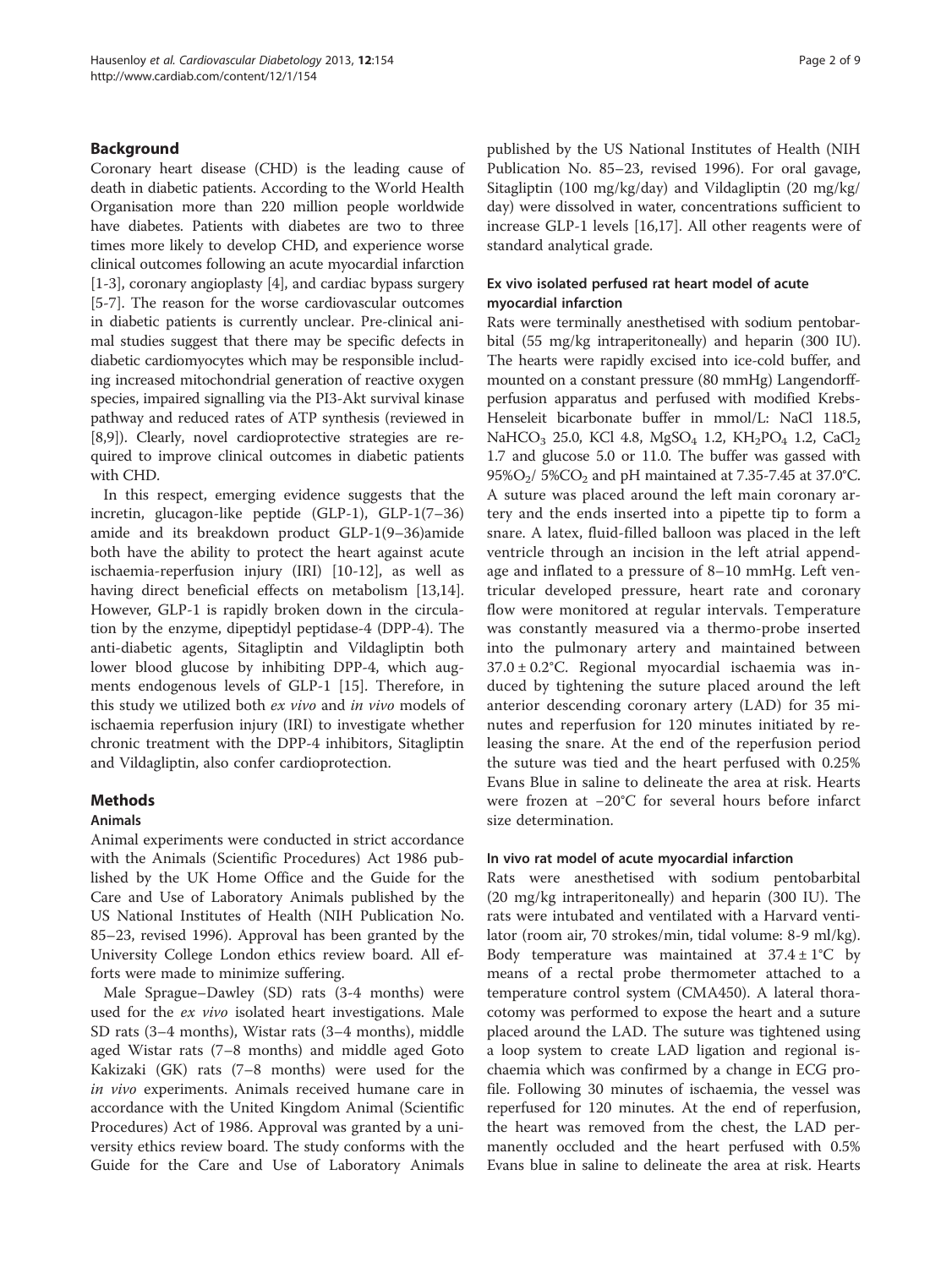#### Background

Coronary heart disease (CHD) is the leading cause of death in diabetic patients. According to the World Health Organisation more than 220 million people worldwide have diabetes. Patients with diabetes are two to three times more likely to develop CHD, and experience worse clinical outcomes following an acute myocardial infarction [[1-3\]](#page-7-0), coronary angioplasty [\[4](#page-7-0)], and cardiac bypass surgery [[5-7\]](#page-7-0). The reason for the worse cardiovascular outcomes in diabetic patients is currently unclear. Pre-clinical animal studies suggest that there may be specific defects in diabetic cardiomyocytes which may be responsible including increased mitochondrial generation of reactive oxygen species, impaired signalling via the PI3-Akt survival kinase pathway and reduced rates of ATP synthesis (reviewed in [[8,9](#page-7-0)]). Clearly, novel cardioprotective strategies are required to improve clinical outcomes in diabetic patients with CHD.

In this respect, emerging evidence suggests that the incretin, glucagon-like peptide (GLP-1), GLP-1(7–36) amide and its breakdown product GLP-1(9–36)amide both have the ability to protect the heart against acute ischaemia-reperfusion injury (IRI) [[10-12](#page-7-0)], as well as having direct beneficial effects on metabolism [\[13,14](#page-8-0)]. However, GLP-1 is rapidly broken down in the circulation by the enzyme, dipeptidyl peptidase-4 (DPP-4). The anti-diabetic agents, Sitagliptin and Vildagliptin both lower blood glucose by inhibiting DPP-4, which augments endogenous levels of GLP-1 [\[15\]](#page-8-0). Therefore, in this study we utilized both ex vivo and in vivo models of ischaemia reperfusion injury (IRI) to investigate whether chronic treatment with the DPP-4 inhibitors, Sitagliptin and Vildagliptin, also confer cardioprotection.

#### Methods

#### Animals

Animal experiments were conducted in strict accordance with the Animals (Scientific Procedures) Act 1986 published by the UK Home Office and the Guide for the Care and Use of Laboratory Animals published by the US National Institutes of Health (NIH Publication No. 85–23, revised 1996). Approval has been granted by the University College London ethics review board. All efforts were made to minimize suffering.

Male Sprague–Dawley (SD) rats (3-4 months) were used for the ex vivo isolated heart investigations. Male SD rats (3–4 months), Wistar rats (3–4 months), middle aged Wistar rats (7–8 months) and middle aged Goto Kakizaki (GK) rats (7–8 months) were used for the in vivo experiments. Animals received humane care in accordance with the United Kingdom Animal (Scientific Procedures) Act of 1986. Approval was granted by a university ethics review board. The study conforms with the Guide for the Care and Use of Laboratory Animals

published by the US National Institutes of Health (NIH Publication No. 85–23, revised 1996). For oral gavage, Sitagliptin (100 mg/kg/day) and Vildagliptin (20 mg/kg/ day) were dissolved in water, concentrations sufficient to increase GLP-1 levels [[16,17\]](#page-8-0). All other reagents were of standard analytical grade.

#### Ex vivo isolated perfused rat heart model of acute myocardial infarction

Rats were terminally anesthetised with sodium pentobarbital (55 mg/kg intraperitoneally) and heparin (300 IU). The hearts were rapidly excised into ice-cold buffer, and mounted on a constant pressure (80 mmHg) Langendorffperfusion apparatus and perfused with modified Krebs-Henseleit bicarbonate buffer in mmol/L: NaCl 118.5, NaHCO<sub>3</sub> 25.0, KCl 4.8, MgSO<sub>4</sub> 1.2, KH<sub>2</sub>PO<sub>4</sub> 1.2, CaCl<sub>2</sub> 1.7 and glucose 5.0 or 11.0. The buffer was gassed with 95% $O_2$ / 5% $CO_2$  and pH maintained at 7.35-7.45 at 37.0°C. A suture was placed around the left main coronary artery and the ends inserted into a pipette tip to form a snare. A latex, fluid-filled balloon was placed in the left ventricle through an incision in the left atrial appendage and inflated to a pressure of 8–10 mmHg. Left ventricular developed pressure, heart rate and coronary flow were monitored at regular intervals. Temperature was constantly measured via a thermo-probe inserted into the pulmonary artery and maintained between 37.0 ± 0.2°C. Regional myocardial ischaemia was induced by tightening the suture placed around the left anterior descending coronary artery (LAD) for 35 minutes and reperfusion for 120 minutes initiated by releasing the snare. At the end of the reperfusion period the suture was tied and the heart perfused with 0.25% Evans Blue in saline to delineate the area at risk. Hearts were frozen at −20°C for several hours before infarct size determination.

#### In vivo rat model of acute myocardial infarction

Rats were anesthetised with sodium pentobarbital (20 mg/kg intraperitoneally) and heparin (300 IU). The rats were intubated and ventilated with a Harvard ventilator (room air, 70 strokes/min, tidal volume: 8-9 ml/kg). Body temperature was maintained at  $37.4 \pm 1^{\circ}$ C by means of a rectal probe thermometer attached to a temperature control system (CMA450). A lateral thoracotomy was performed to expose the heart and a suture placed around the LAD. The suture was tightened using a loop system to create LAD ligation and regional ischaemia which was confirmed by a change in ECG profile. Following 30 minutes of ischaemia, the vessel was reperfused for 120 minutes. At the end of reperfusion, the heart was removed from the chest, the LAD permanently occluded and the heart perfused with 0.5% Evans blue in saline to delineate the area at risk. Hearts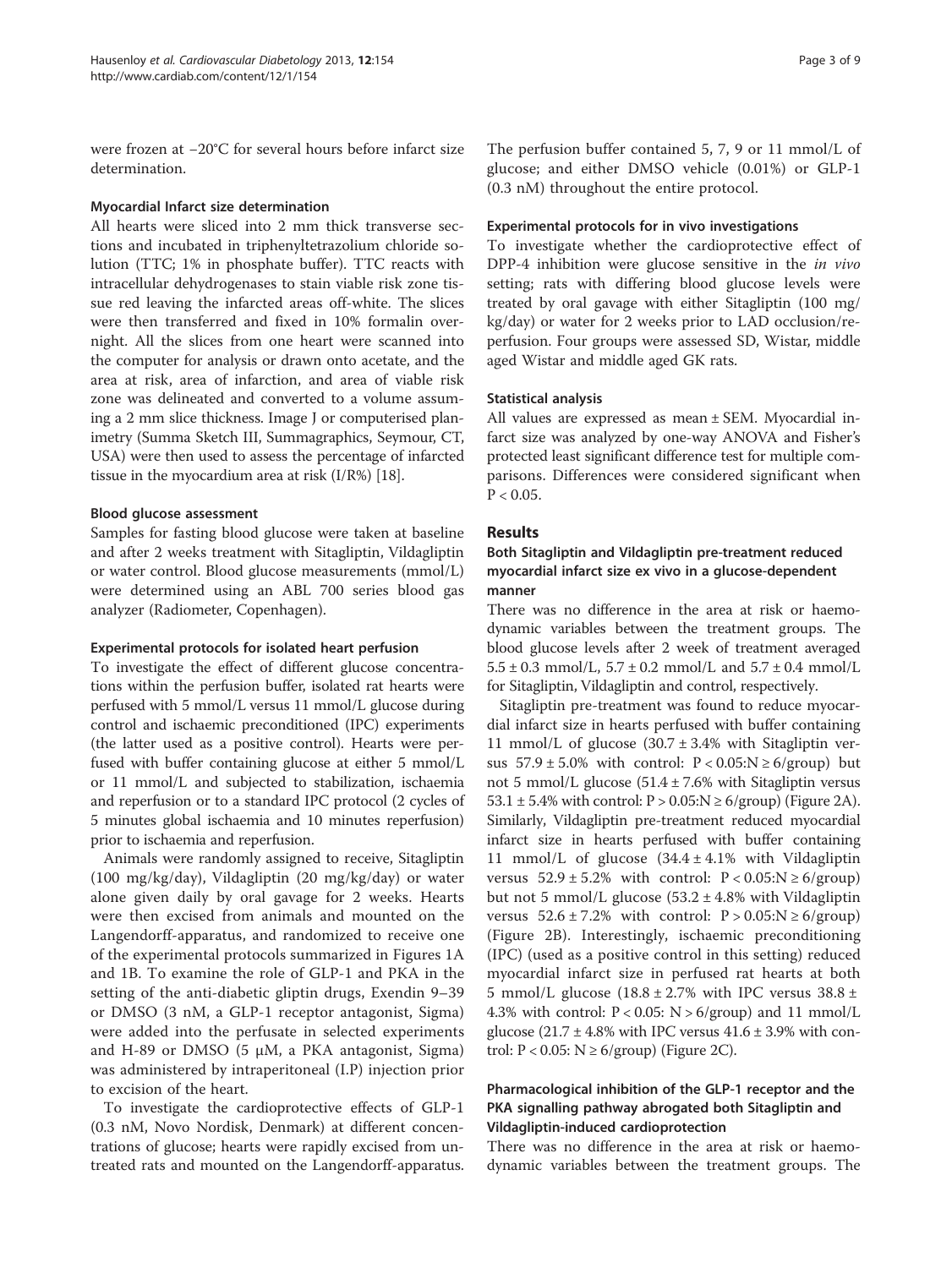were frozen at −20°C for several hours before infarct size determination.

#### Myocardial Infarct size determination

All hearts were sliced into 2 mm thick transverse sections and incubated in triphenyltetrazolium chloride solution (TTC; 1% in phosphate buffer). TTC reacts with intracellular dehydrogenases to stain viable risk zone tissue red leaving the infarcted areas off-white. The slices were then transferred and fixed in 10% formalin overnight. All the slices from one heart were scanned into the computer for analysis or drawn onto acetate, and the area at risk, area of infarction, and area of viable risk zone was delineated and converted to a volume assuming a 2 mm slice thickness. Image J or computerised planimetry (Summa Sketch III, Summagraphics, Seymour, CT, USA) were then used to assess the percentage of infarcted tissue in the myocardium area at risk (I/R%) [\[18\]](#page-8-0).

#### Blood glucose assessment

Samples for fasting blood glucose were taken at baseline and after 2 weeks treatment with Sitagliptin, Vildagliptin or water control. Blood glucose measurements (mmol/L) were determined using an ABL 700 series blood gas analyzer (Radiometer, Copenhagen).

#### Experimental protocols for isolated heart perfusion

To investigate the effect of different glucose concentrations within the perfusion buffer, isolated rat hearts were perfused with 5 mmol/L versus 11 mmol/L glucose during control and ischaemic preconditioned (IPC) experiments (the latter used as a positive control). Hearts were perfused with buffer containing glucose at either 5 mmol/L or 11 mmol/L and subjected to stabilization, ischaemia and reperfusion or to a standard IPC protocol (2 cycles of 5 minutes global ischaemia and 10 minutes reperfusion) prior to ischaemia and reperfusion.

Animals were randomly assigned to receive, Sitagliptin (100 mg/kg/day), Vildagliptin (20 mg/kg/day) or water alone given daily by oral gavage for 2 weeks. Hearts were then excised from animals and mounted on the Langendorff-apparatus, and randomized to receive one of the experimental protocols summarized in Figures [1A](#page-3-0) and [1](#page-3-0)B. To examine the role of GLP-1 and PKA in the setting of the anti-diabetic gliptin drugs, Exendin 9–39 or DMSO (3 nM, a GLP-1 receptor antagonist, Sigma) were added into the perfusate in selected experiments and H-89 or DMSO  $(5 \mu M, a \text{ } PKA$  antagonist, Sigma) was administered by intraperitoneal (I.P) injection prior to excision of the heart.

To investigate the cardioprotective effects of GLP-1 (0.3 nM, Novo Nordisk, Denmark) at different concentrations of glucose; hearts were rapidly excised from untreated rats and mounted on the Langendorff-apparatus.

#### Experimental protocols for in vivo investigations

To investigate whether the cardioprotective effect of DPP-4 inhibition were glucose sensitive in the in vivo setting; rats with differing blood glucose levels were treated by oral gavage with either Sitagliptin (100 mg/ kg/day) or water for 2 weeks prior to LAD occlusion/reperfusion. Four groups were assessed SD, Wistar, middle aged Wistar and middle aged GK rats.

#### Statistical analysis

All values are expressed as mean ± SEM. Myocardial infarct size was analyzed by one-way ANOVA and Fisher's protected least significant difference test for multiple comparisons. Differences were considered significant when  $P < 0.05$ .

# Results

# Both Sitagliptin and Vildagliptin pre-treatment reduced myocardial infarct size ex vivo in a glucose-dependent manner

There was no difference in the area at risk or haemodynamic variables between the treatment groups. The blood glucose levels after 2 week of treatment averaged  $5.5 \pm 0.3$  mmol/L,  $5.7 \pm 0.2$  mmol/L and  $5.7 \pm 0.4$  mmol/L for Sitagliptin, Vildagliptin and control, respectively.

Sitagliptin pre-treatment was found to reduce myocardial infarct size in hearts perfused with buffer containing 11 mmol/L of glucose  $(30.7 \pm 3.4\%$  with Sitagliptin versus  $57.9 \pm 5.0\%$  with control:  $P < 0.05$ :N  $\ge 6$ /group) but not 5 mmol/L glucose  $(51.4 \pm 7.6\%$  with Sitagliptin versus  $53.1 \pm 5.4\%$  with control:  $P > 0.05$ :  $N \ge 6$ /group) (Figure [2A](#page-4-0)). Similarly, Vildagliptin pre-treatment reduced myocardial infarct size in hearts perfused with buffer containing 11 mmol/L of glucose (34.4 ± 4.1% with Vildagliptin versus  $52.9 \pm 5.2\%$  with control:  $P < 0.05$ :N  $\geq 6$ /group) but not 5 mmol/L glucose (53.2 ± 4.8% with Vildagliptin versus  $52.6 \pm 7.2\%$  with control:  $P > 0.05$ :N  $\geq 6$ /group) (Figure [2B](#page-4-0)). Interestingly, ischaemic preconditioning (IPC) (used as a positive control in this setting) reduced myocardial infarct size in perfused rat hearts at both 5 mmol/L glucose  $(18.8 \pm 2.7\%)$  with IPC versus  $38.8 \pm 1.5$ 4.3% with control:  $P < 0.05$ : N  $> 6$ /group) and 11 mmol/L glucose  $(21.7 \pm 4.8\% \text{ with IPC versus } 41.6 \pm 3.9\% \text{ with con-}$ trol:  $P < 0.05$ :  $N \ge 6$ /group) (Figure [2](#page-4-0)C).

# Pharmacological inhibition of the GLP-1 receptor and the PKA signalling pathway abrogated both Sitagliptin and Vildagliptin-induced cardioprotection

There was no difference in the area at risk or haemodynamic variables between the treatment groups. The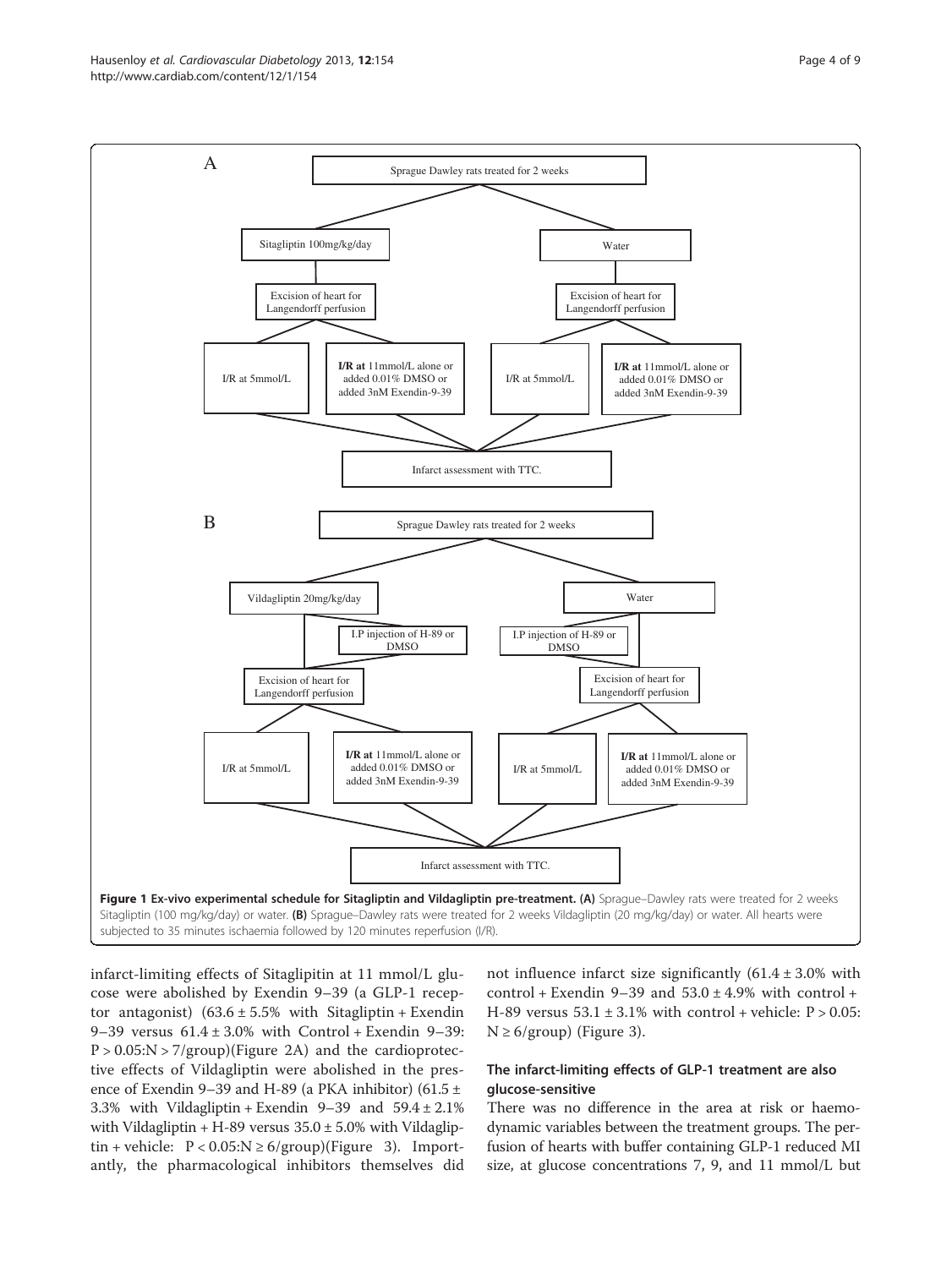<span id="page-3-0"></span>Hausenloy et al. Cardiovascular Diabetology 2013, 12:154 Page 4 of 9 http://www.cardiab.com/content/12/1/154



infarct-limiting effects of Sitaglipitin at 11 mmol/L glucose were abolished by Exendin 9–39 (a GLP-1 receptor antagonist)  $(63.6 \pm 5.5\%$  with Sitagliptin + Exendin 9–39 versus  $61.4 \pm 3.0\%$  with Control + Exendin 9–39:  $P > 0.05$ :N  $> 7$ /group)(Figure [2](#page-4-0)A) and the cardioprotective effects of Vildagliptin were abolished in the presence of Exendin 9–39 and H-89 (a PKA inhibitor) (61.5  $\pm$ 3.3% with Vildagliptin + Exendin 9–39 and 59.4 ± 2.1% with Vildagliptin  $+ H$ -89 versus  $35.0 \pm 5.0$ % with Vildagliptin + vehicle:  $P < 0.05$ :N  $\geq 6$ /group)(Figure [3](#page-4-0)). Importantly, the pharmacological inhibitors themselves did not influence infarct size significantly  $(61.4 \pm 3.0\%$  with control + Exendin 9–39 and  $53.0 \pm 4.9\%$  with control + H-89 versus  $53.1 \pm 3.1\%$  with control + vehicle:  $P > 0.05$ :  $N \geq 6$ /group) (Figure [3\)](#page-4-0).

# The infarct-limiting effects of GLP-1 treatment are also glucose-sensitive

There was no difference in the area at risk or haemodynamic variables between the treatment groups. The perfusion of hearts with buffer containing GLP-1 reduced MI size, at glucose concentrations 7, 9, and 11 mmol/L but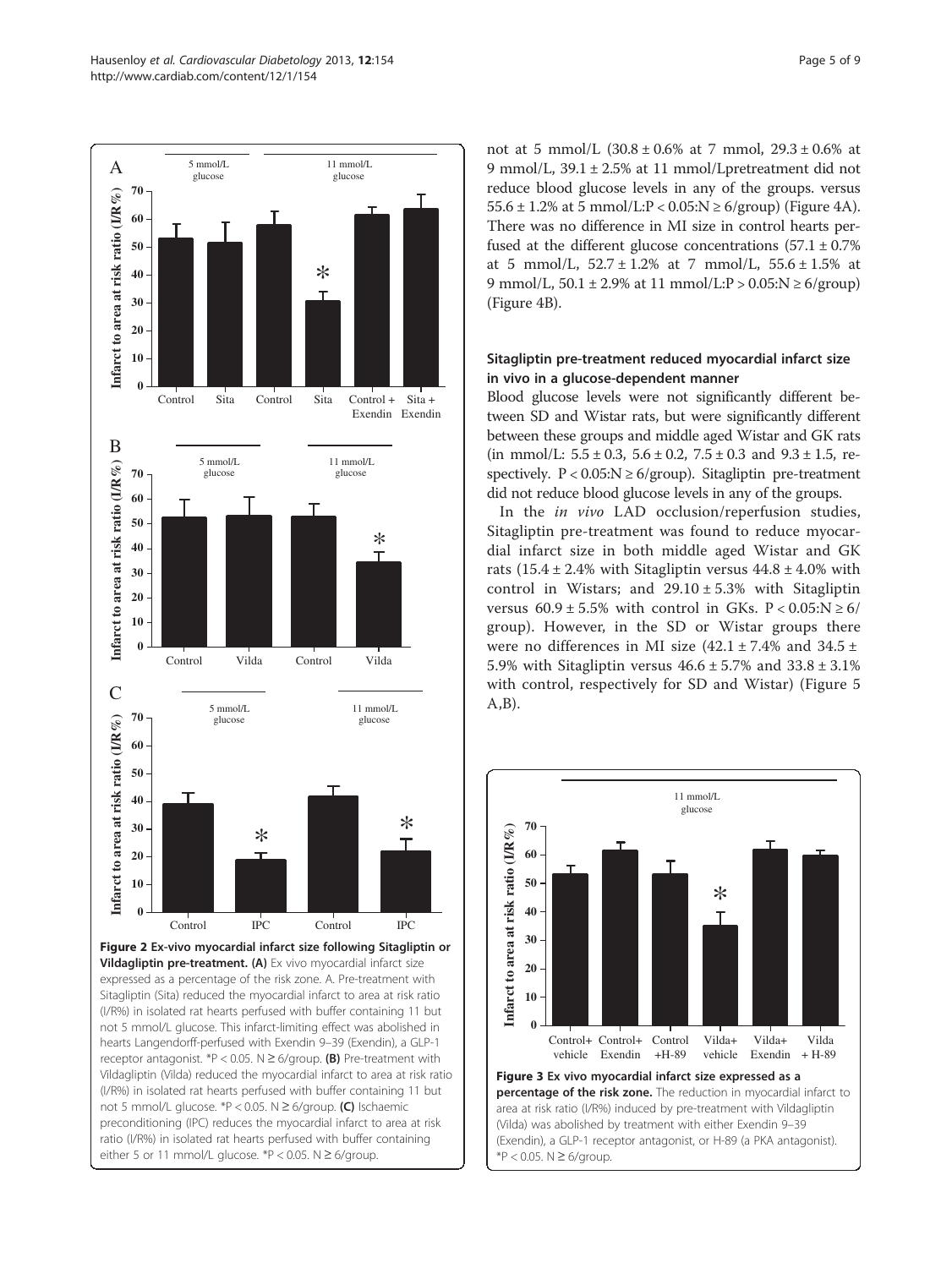<span id="page-4-0"></span>

not 5 mmol/L glucose. \*P < 0.05. N ≥ 6/group. (C) Ischaemic preconditioning (IPC) reduces the myocardial infarct to area at risk ratio (I/R%) in isolated rat hearts perfused with buffer containing either 5 or 11 mmol/L glucose. \*P < 0.05.  $N \ge 6$ /group.

not at 5 mmol/L (30.8 ± 0.6% at 7 mmol, 29.3 ± 0.6% at 9 mmol/L, 39.1 ± 2.5% at 11 mmol/Lpretreatment did not reduce blood glucose levels in any of the groups. versus 55.6  $\pm$  1.2% at 5 mmol/L:P < 0.05:N  $\geq$  6/group) (Figure [4A](#page-5-0)). There was no difference in MI size in control hearts perfused at the different glucose concentrations  $(57.1 \pm 0.7\%)$ at 5 mmol/L,  $52.7 \pm 1.2\%$  at 7 mmol/L,  $55.6 \pm 1.5\%$  at 9 mmol/L,  $50.1 \pm 2.9\%$  at 11 mmol/L:P >  $0.05$ :N  $\geq 6$ /group) (Figure [4](#page-5-0)B).

# Sitagliptin pre-treatment reduced myocardial infarct size in vivo in a glucose-dependent manner

Blood glucose levels were not significantly different between SD and Wistar rats, but were significantly different between these groups and middle aged Wistar and GK rats (in mmol/L:  $5.5 \pm 0.3$ ,  $5.6 \pm 0.2$ ,  $7.5 \pm 0.3$  and  $9.3 \pm 1.5$ , respectively.  $P < 0.05$ :  $N \ge 6$ /group). Sitagliptin pre-treatment did not reduce blood glucose levels in any of the groups.

In the in vivo LAD occlusion/reperfusion studies, Sitagliptin pre-treatment was found to reduce myocardial infarct size in both middle aged Wistar and GK rats (15.4  $\pm$  2.4% with Sitagliptin versus 44.8  $\pm$  4.0% with control in Wistars; and  $29.10 \pm 5.3\%$  with Sitagliptin versus  $60.9 \pm 5.5\%$  with control in GKs. P <  $0.05:N \ge 6/$ group). However, in the SD or Wistar groups there were no differences in MI size  $(42.1 \pm 7.4\%$  and  $34.5 \pm 1.5\%$ 5.9% with Sitagliptin versus  $46.6 \pm 5.7$ % and  $33.8 \pm 3.1$ % with control, respectively for SD and Wistar) (Figure [5](#page-5-0) A,B).



(Vilda) was abolished by treatment with either Exendin 9–39 (Exendin), a GLP-1 receptor antagonist, or H-89 (a PKA antagonist). \*P < 0.05. N ≥ 6/group.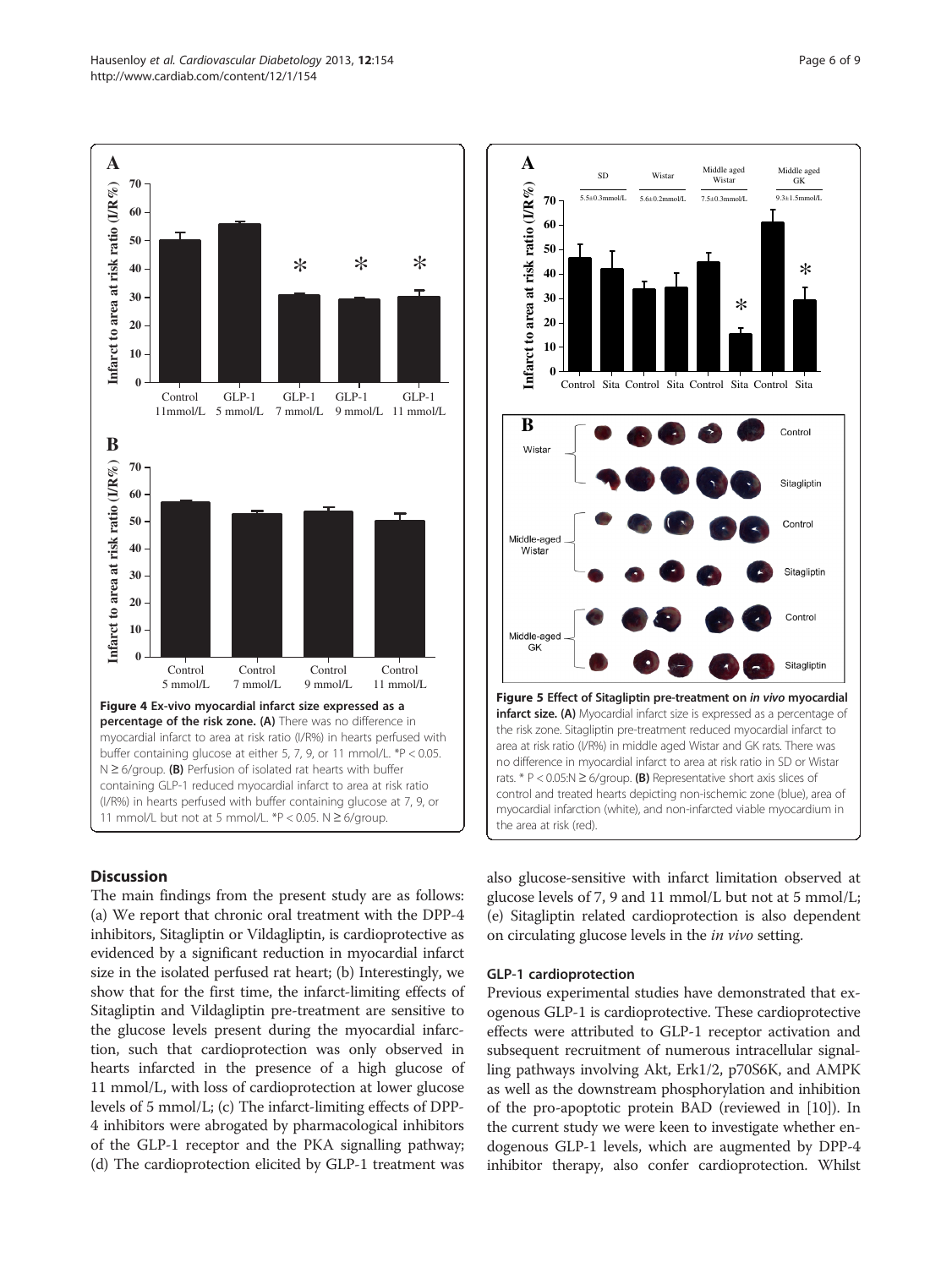<span id="page-5-0"></span>

#### **Discussion**

The main findings from the present study are as follows: (a) We report that chronic oral treatment with the DPP-4 inhibitors, Sitagliptin or Vildagliptin, is cardioprotective as evidenced by a significant reduction in myocardial infarct size in the isolated perfused rat heart; (b) Interestingly, we show that for the first time, the infarct-limiting effects of Sitagliptin and Vildagliptin pre-treatment are sensitive to the glucose levels present during the myocardial infarction, such that cardioprotection was only observed in hearts infarcted in the presence of a high glucose of 11 mmol/L, with loss of cardioprotection at lower glucose levels of 5 mmol/L; (c) The infarct-limiting effects of DPP-4 inhibitors were abrogated by pharmacological inhibitors of the GLP-1 receptor and the PKA signalling pathway; (d) The cardioprotection elicited by GLP-1 treatment was



also glucose-sensitive with infarct limitation observed at glucose levels of 7, 9 and 11 mmol/L but not at 5 mmol/L; (e) Sitagliptin related cardioprotection is also dependent on circulating glucose levels in the in vivo setting.

#### GLP-1 cardioprotection

Previous experimental studies have demonstrated that exogenous GLP-1 is cardioprotective. These cardioprotective effects were attributed to GLP-1 receptor activation and subsequent recruitment of numerous intracellular signalling pathways involving Akt, Erk1/2, p70S6K, and AMPK as well as the downstream phosphorylation and inhibition of the pro-apoptotic protein BAD (reviewed in [[10](#page-7-0)]). In the current study we were keen to investigate whether endogenous GLP-1 levels, which are augmented by DPP-4 inhibitor therapy, also confer cardioprotection. Whilst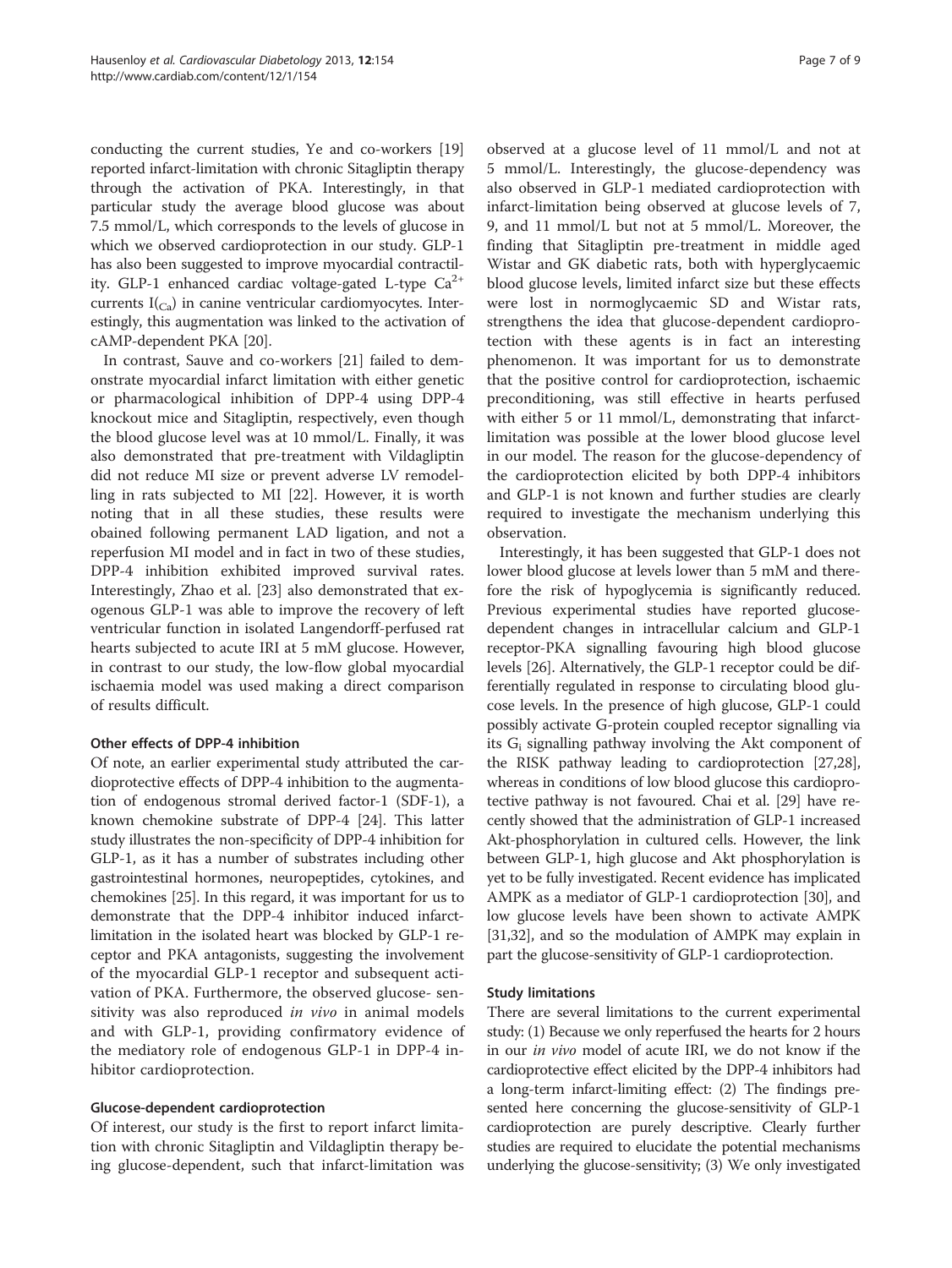conducting the current studies, Ye and co-workers [[19](#page-8-0)] reported infarct-limitation with chronic Sitagliptin therapy through the activation of PKA. Interestingly, in that particular study the average blood glucose was about 7.5 mmol/L, which corresponds to the levels of glucose in which we observed cardioprotection in our study. GLP-1 has also been suggested to improve myocardial contractility. GLP-1 enhanced cardiac voltage-gated L-type  $Ca^{2+}$ currents  $I_{(C_3)}$  in canine ventricular cardiomyocytes. Interestingly, this augmentation was linked to the activation of cAMP-dependent PKA [\[20\]](#page-8-0).

In contrast, Sauve and co-workers [[21\]](#page-8-0) failed to demonstrate myocardial infarct limitation with either genetic or pharmacological inhibition of DPP-4 using DPP-4 knockout mice and Sitagliptin, respectively, even though the blood glucose level was at 10 mmol/L. Finally, it was also demonstrated that pre-treatment with Vildagliptin did not reduce MI size or prevent adverse LV remodelling in rats subjected to MI [[22](#page-8-0)]. However, it is worth noting that in all these studies, these results were obained following permanent LAD ligation, and not a reperfusion MI model and in fact in two of these studies, DPP-4 inhibition exhibited improved survival rates. Interestingly, Zhao et al. [[23\]](#page-8-0) also demonstrated that exogenous GLP-1 was able to improve the recovery of left ventricular function in isolated Langendorff-perfused rat hearts subjected to acute IRI at 5 mM glucose. However, in contrast to our study, the low-flow global myocardial ischaemia model was used making a direct comparison of results difficult.

#### Other effects of DPP-4 inhibition

Of note, an earlier experimental study attributed the cardioprotective effects of DPP-4 inhibition to the augmentation of endogenous stromal derived factor-1 (SDF-1), a known chemokine substrate of DPP-4 [[24](#page-8-0)]. This latter study illustrates the non-specificity of DPP-4 inhibition for GLP-1, as it has a number of substrates including other gastrointestinal hormones, neuropeptides, cytokines, and chemokines [\[25\]](#page-8-0). In this regard, it was important for us to demonstrate that the DPP-4 inhibitor induced infarctlimitation in the isolated heart was blocked by GLP-1 receptor and PKA antagonists, suggesting the involvement of the myocardial GLP-1 receptor and subsequent activation of PKA. Furthermore, the observed glucose- sensitivity was also reproduced in vivo in animal models and with GLP-1, providing confirmatory evidence of the mediatory role of endogenous GLP-1 in DPP-4 inhibitor cardioprotection.

#### Glucose-dependent cardioprotection

Of interest, our study is the first to report infarct limitation with chronic Sitagliptin and Vildagliptin therapy being glucose-dependent, such that infarct-limitation was

observed at a glucose level of 11 mmol/L and not at 5 mmol/L. Interestingly, the glucose-dependency was also observed in GLP-1 mediated cardioprotection with infarct-limitation being observed at glucose levels of 7, 9, and 11 mmol/L but not at 5 mmol/L. Moreover, the finding that Sitagliptin pre-treatment in middle aged Wistar and GK diabetic rats, both with hyperglycaemic blood glucose levels, limited infarct size but these effects were lost in normoglycaemic SD and Wistar rats, strengthens the idea that glucose-dependent cardioprotection with these agents is in fact an interesting phenomenon. It was important for us to demonstrate that the positive control for cardioprotection, ischaemic preconditioning, was still effective in hearts perfused with either 5 or 11 mmol/L, demonstrating that infarctlimitation was possible at the lower blood glucose level in our model. The reason for the glucose-dependency of the cardioprotection elicited by both DPP-4 inhibitors and GLP-1 is not known and further studies are clearly required to investigate the mechanism underlying this observation.

Interestingly, it has been suggested that GLP-1 does not lower blood glucose at levels lower than 5 mM and therefore the risk of hypoglycemia is significantly reduced. Previous experimental studies have reported glucosedependent changes in intracellular calcium and GLP-1 receptor-PKA signalling favouring high blood glucose levels [[26](#page-8-0)]. Alternatively, the GLP-1 receptor could be differentially regulated in response to circulating blood glucose levels. In the presence of high glucose, GLP-1 could possibly activate G-protein coupled receptor signalling via its  $G_i$  signalling pathway involving the Akt component of the RISK pathway leading to cardioprotection [\[27,28](#page-8-0)], whereas in conditions of low blood glucose this cardioprotective pathway is not favoured. Chai et al. [[29](#page-8-0)] have recently showed that the administration of GLP-1 increased Akt-phosphorylation in cultured cells. However, the link between GLP-1, high glucose and Akt phosphorylation is yet to be fully investigated. Recent evidence has implicated AMPK as a mediator of GLP-1 cardioprotection [[30\]](#page-8-0), and low glucose levels have been shown to activate AMPK [[31](#page-8-0),[32](#page-8-0)], and so the modulation of AMPK may explain in part the glucose-sensitivity of GLP-1 cardioprotection.

#### Study limitations

There are several limitations to the current experimental study: (1) Because we only reperfused the hearts for 2 hours in our in vivo model of acute IRI, we do not know if the cardioprotective effect elicited by the DPP-4 inhibitors had a long-term infarct-limiting effect: (2) The findings presented here concerning the glucose-sensitivity of GLP-1 cardioprotection are purely descriptive. Clearly further studies are required to elucidate the potential mechanisms underlying the glucose-sensitivity; (3) We only investigated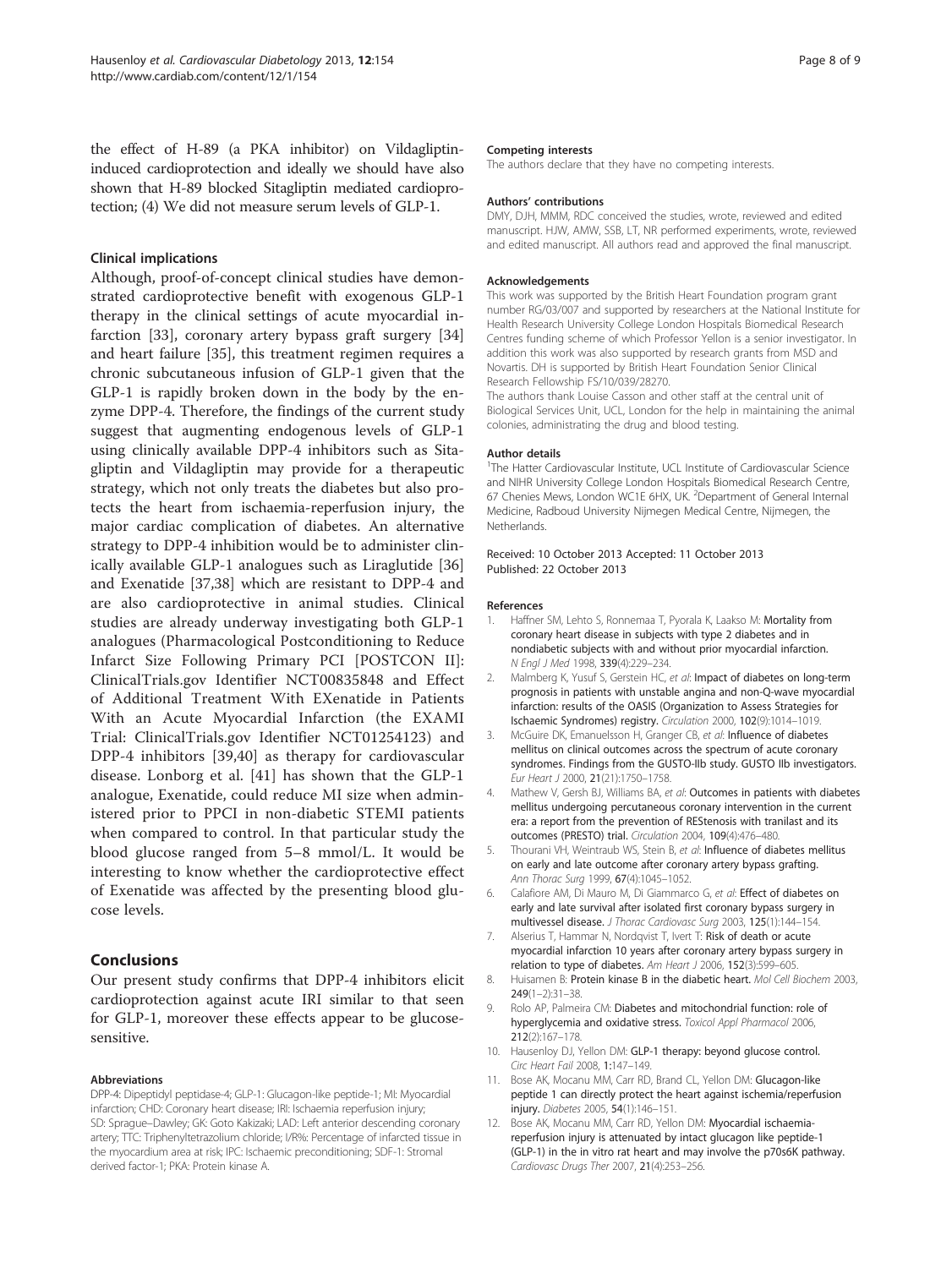<span id="page-7-0"></span>the effect of H-89 (a PKA inhibitor) on Vildagliptininduced cardioprotection and ideally we should have also shown that H-89 blocked Sitagliptin mediated cardioprotection; (4) We did not measure serum levels of GLP-1.

#### Clinical implications

Although, proof-of-concept clinical studies have demonstrated cardioprotective benefit with exogenous GLP-1 therapy in the clinical settings of acute myocardial infarction [\[33\]](#page-8-0), coronary artery bypass graft surgery [[34](#page-8-0)] and heart failure [\[35\]](#page-8-0), this treatment regimen requires a chronic subcutaneous infusion of GLP-1 given that the GLP-1 is rapidly broken down in the body by the enzyme DPP-4. Therefore, the findings of the current study suggest that augmenting endogenous levels of GLP-1 using clinically available DPP-4 inhibitors such as Sitagliptin and Vildagliptin may provide for a therapeutic strategy, which not only treats the diabetes but also protects the heart from ischaemia-reperfusion injury, the major cardiac complication of diabetes. An alternative strategy to DPP-4 inhibition would be to administer clinically available GLP-1 analogues such as Liraglutide [[36](#page-8-0)] and Exenatide [\[37,38\]](#page-8-0) which are resistant to DPP-4 and are also cardioprotective in animal studies. Clinical studies are already underway investigating both GLP-1 analogues (Pharmacological Postconditioning to Reduce Infarct Size Following Primary PCI [POSTCON II]: ClinicalTrials.gov Identifier NCT00835848 and Effect of Additional Treatment With EXenatide in Patients With an Acute Myocardial Infarction (the EXAMI Trial: ClinicalTrials.gov Identifier NCT01254123) and DPP-4 inhibitors [[39,40](#page-8-0)] as therapy for cardiovascular disease. Lonborg et al. [[41\]](#page-8-0) has shown that the GLP-1 analogue, Exenatide, could reduce MI size when administered prior to PPCI in non-diabetic STEMI patients when compared to control. In that particular study the blood glucose ranged from 5–8 mmol/L. It would be interesting to know whether the cardioprotective effect of Exenatide was affected by the presenting blood glucose levels.

# Conclusions

Our present study confirms that DPP-4 inhibitors elicit cardioprotection against acute IRI similar to that seen for GLP-1, moreover these effects appear to be glucosesensitive.

#### Abbreviations

DPP-4: Dipeptidyl peptidase-4; GLP-1: Glucagon-like peptide-1; MI: Myocardial infarction; CHD: Coronary heart disease; IRI: Ischaemia reperfusion injury; SD: Sprague–Dawley; GK: Goto Kakizaki; LAD: Left anterior descending coronary artery; TTC: Triphenyltetrazolium chloride; I/R%: Percentage of infarcted tissue in the myocardium area at risk; IPC: Ischaemic preconditioning; SDF-1: Stromal derived factor-1; PKA: Protein kinase A.

#### Competing interests

The authors declare that they have no competing interests.

#### Authors' contributions

DMY, DJH, MMM, RDC conceived the studies, wrote, reviewed and edited manuscript. HJW, AMW, SSB, LT, NR performed experiments, wrote, reviewed and edited manuscript. All authors read and approved the final manuscript.

#### Acknowledgements

This work was supported by the British Heart Foundation program grant number RG/03/007 and supported by researchers at the National Institute for Health Research University College London Hospitals Biomedical Research Centres funding scheme of which Professor Yellon is a senior investigator. In addition this work was also supported by research grants from MSD and Novartis. DH is supported by British Heart Foundation Senior Clinical Research Fellowship FS/10/039/28270.

The authors thank Louise Casson and other staff at the central unit of Biological Services Unit, UCL, London for the help in maintaining the animal colonies, administrating the drug and blood testing.

#### Author details

<sup>1</sup>The Hatter Cardiovascular Institute, UCL Institute of Cardiovascular Science and NIHR University College London Hospitals Biomedical Research Centre, 67 Chenies Mews, London WC1E 6HX, UK. <sup>2</sup>Department of General Internal Medicine, Radboud University Nijmegen Medical Centre, Nijmegen, the Netherlands.

Received: 10 October 2013 Accepted: 11 October 2013 Published: 22 October 2013

#### References

- 1. Haffner SM, Lehto S, Ronnemaa T, Pyorala K, Laakso M: Mortality from coronary heart disease in subjects with type 2 diabetes and in nondiabetic subjects with and without prior myocardial infarction. N Engl J Med 1998, 339(4):229–234.
- 2. Malmberg K, Yusuf S, Gerstein HC, et al: Impact of diabetes on long-term prognosis in patients with unstable angina and non-Q-wave myocardial infarction: results of the OASIS (Organization to Assess Strategies for Ischaemic Syndromes) registry. Circulation 2000, 102(9):1014–1019.
- 3. McGuire DK, Emanuelsson H, Granger CB, et al: Influence of diabetes mellitus on clinical outcomes across the spectrum of acute coronary syndromes. Findings from the GUSTO-IIb study. GUSTO IIb investigators. Eur Heart J 2000, 21(21):1750–1758.
- 4. Mathew V, Gersh BJ, Williams BA, et al: Outcomes in patients with diabetes mellitus undergoing percutaneous coronary intervention in the current era: a report from the prevention of REStenosis with tranilast and its outcomes (PRESTO) trial. Circulation 2004, 109(4):476–480.
- 5. Thourani VH, Weintraub WS, Stein B, et al: Influence of diabetes mellitus on early and late outcome after coronary artery bypass grafting. Ann Thorac Surg 1999, 67(4):1045–1052.
- 6. Calafiore AM, Di Mauro M, Di Giammarco G, et al: Effect of diabetes on early and late survival after isolated first coronary bypass surgery in multivessel disease. J Thorac Cardiovasc Surg 2003, 125(1):144–154.
- 7. Alserius T, Hammar N, Nordqvist T, Ivert T: Risk of death or acute myocardial infarction 10 years after coronary artery bypass surgery in relation to type of diabetes. Am Heart J 2006, 152(3):599-605.
- 8. Huisamen B: Protein kinase B in the diabetic heart. Mol Cell Biochem 2003,  $249(1-2):31-38$ .
- 9. Rolo AP, Palmeira CM: Diabetes and mitochondrial function: role of hyperglycemia and oxidative stress. Toxicol Appl Pharmacol 2006, 212(2):167–178.
- 10. Hausenloy DJ, Yellon DM: GLP-1 therapy: beyond glucose control. Circ Heart Fail 2008, 1:147–149.
- 11. Bose AK, Mocanu MM, Carr RD, Brand CL, Yellon DM: Glucagon-like peptide 1 can directly protect the heart against ischemia/reperfusion injury. Diabetes 2005, 54(1):146–151.
- 12. Bose AK, Mocanu MM, Carr RD, Yellon DM: Myocardial ischaemiareperfusion injury is attenuated by intact glucagon like peptide-1 (GLP-1) in the in vitro rat heart and may involve the p70s6K pathway. Cardiovasc Drugs Ther 2007, 21(4):253–256.